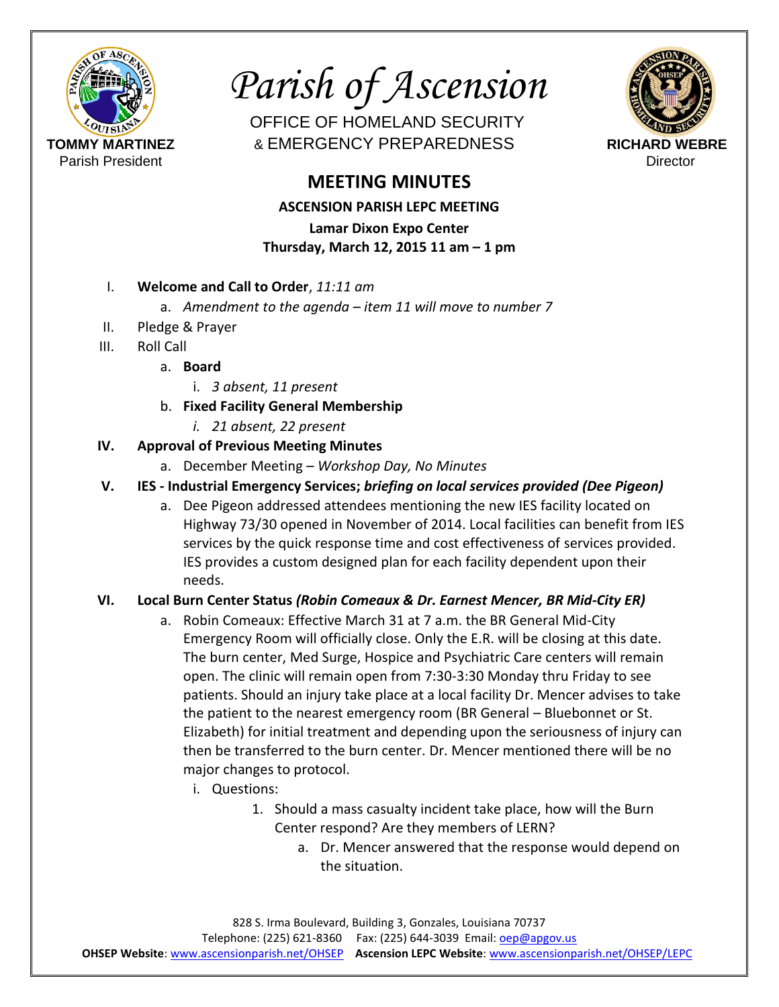

*Parish of Ascension*

OFFICE OF HOMELAND SECURITY **TOMMY MARTINEZ** & EMERGENCY PREPAREDNESS **RICHARD WEBRE**

# **MEETING MINUTES**

**ASCENSION PARISH LEPC MEETING** 

**Lamar Dixon Expo Center Thursday, March 12, 2015 11 am – 1 pm**

- I. **Welcome and Call to Order**, *11:11 am*
	- a. *Amendment to the agenda – item 11 will move to number 7*
- II. Pledge & Prayer
- III. Roll Call
	- a. **Board**
		- i. *3 absent, 11 present*
	- b. **Fixed Facility General Membership**
		- *i. 21 absent, 22 present*

## **IV. Approval of Previous Meeting Minutes**

- a. December Meeting *Workshop Day, No Minutes*
- **V. IES - Industrial Emergency Services;** *briefing on local services provided (Dee Pigeon)*
	- a. Dee Pigeon addressed attendees mentioning the new IES facility located on Highway 73/30 opened in November of 2014. Local facilities can benefit from IES services by the quick response time and cost effectiveness of services provided. IES provides a custom designed plan for each facility dependent upon their needs.

# **VI. Local Burn Center Status** *(Robin Comeaux & Dr. Earnest Mencer, BR Mid-City ER)*

- a. Robin Comeaux: Effective March 31 at 7 a.m. the BR General Mid-City Emergency Room will officially close. Only the E.R. will be closing at this date. The burn center, Med Surge, Hospice and Psychiatric Care centers will remain open. The clinic will remain open from 7:30-3:30 Monday thru Friday to see patients. Should an injury take place at a local facility Dr. Mencer advises to take the patient to the nearest emergency room (BR General – Bluebonnet or St. Elizabeth) for initial treatment and depending upon the seriousness of injury can then be transferred to the burn center. Dr. Mencer mentioned there will be no major changes to protocol.
	- i. Questions:
		- 1. Should a mass casualty incident take place, how will the Burn Center respond? Are they members of LERN?
			- a. Dr. Mencer answered that the response would depend on the situation.

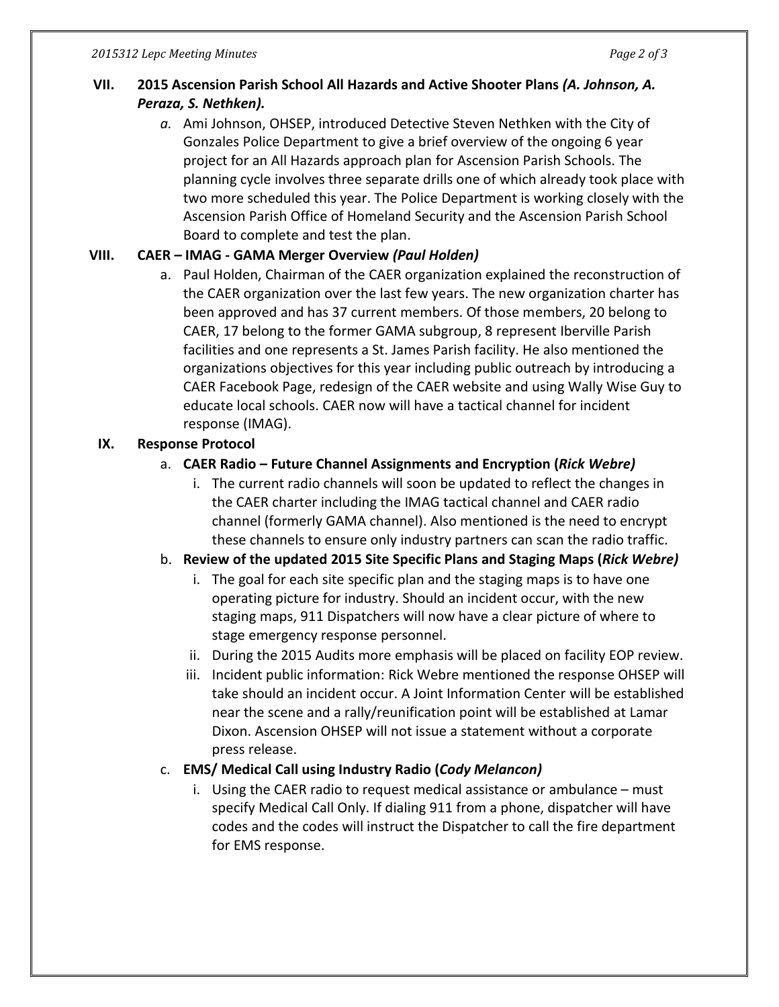## **VII. 2015 Ascension Parish School All Hazards and Active Shooter Plans** *(A. Johnson, A. Peraza, S. Nethken).*

*a.* Ami Johnson, OHSEP, introduced Detective Steven Nethken with the City of Gonzales Police Department to give a brief overview of the ongoing 6 year project for an All Hazards approach plan for Ascension Parish Schools. The planning cycle involves three separate drills one of which already took place with two more scheduled this year. The Police Department is working closely with the Ascension Parish Office of Homeland Security and the Ascension Parish School Board to complete and test the plan.

#### **VIII. CAER – IMAG - GAMA Merger Overview** *(Paul Holden)*

a. Paul Holden, Chairman of the CAER organization explained the reconstruction of the CAER organization over the last few years. The new organization charter has been approved and has 37 current members. Of those members, 20 belong to CAER, 17 belong to the former GAMA subgroup, 8 represent Iberville Parish facilities and one represents a St. James Parish facility. He also mentioned the organizations objectives for this year including public outreach by introducing a CAER Facebook Page, redesign of the CAER website and using Wally Wise Guy to educate local schools. CAER now will have a tactical channel for incident response (IMAG).

#### **IX. Response Protocol**

#### a. **CAER Radio – Future Channel Assignments and Encryption (***Rick Webre)*

i. The current radio channels will soon be updated to reflect the changes in the CAER charter including the IMAG tactical channel and CAER radio channel (formerly GAMA channel). Also mentioned is the need to encrypt these channels to ensure only industry partners can scan the radio traffic.

#### b. **Review of the updated 2015 Site Specific Plans and Staging Maps (***Rick Webre)*

- i. The goal for each site specific plan and the staging maps is to have one operating picture for industry. Should an incident occur, with the new staging maps, 911 Dispatchers will now have a clear picture of where to stage emergency response personnel.
- ii. During the 2015 Audits more emphasis will be placed on facility EOP review.
- iii. Incident public information: Rick Webre mentioned the response OHSEP will take should an incident occur. A Joint Information Center will be established near the scene and a rally/reunification point will be established at Lamar Dixon. Ascension OHSEP will not issue a statement without a corporate press release.

#### c. **EMS/ Medical Call using Industry Radio (***Cody Melancon)*

i. Using the CAER radio to request medical assistance or ambulance – must specify Medical Call Only. If dialing 911 from a phone, dispatcher will have codes and the codes will instruct the Dispatcher to call the fire department for EMS response.